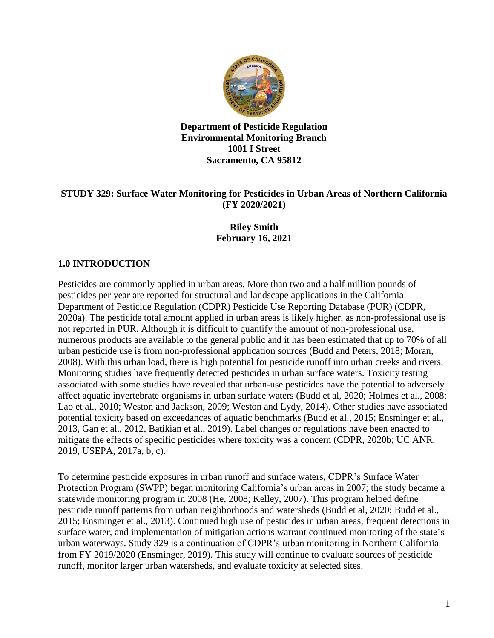

**Department of Pesticide Regulation Environmental Monitoring Branch 1001 I Street Sacramento, CA 95812** 

### **STUDY 329: Surface Water Monitoring for Pesticides in Urban Areas of Northern California (FY 2020/2021)**

# **Riley Smith February 16, 2021**

# **1.0 INTRODUCTION**

Pesticides are commonly applied in urban areas. More than two and a half million pounds of pesticides per year are reported for structural and landscape applications in the California Department of Pesticide Regulation (CDPR) Pesticide Use Reporting Database (PUR) (CDPR, 2020a). The pesticide total amount applied in urban areas is likely higher, as non-professional use is not reported in PUR. Although it is difficult to quantify the amount of non-professional use, numerous products are available to the general public and it has been estimated that up to 70% of all urban pesticide use is from non-professional application sources (Budd and Peters, 2018; Moran, 2008). With this urban load, there is high potential for pesticide runoff into urban creeks and rivers. Monitoring studies have frequently detected pesticides in urban surface waters. Toxicity testing associated with some studies have revealed that urban-use pesticides have the potential to adversely affect aquatic invertebrate organisms in urban surface waters (Budd et al, 2020; Holmes et al., 2008; Lao et al., 2010; Weston and Jackson, 2009; Weston and Lydy, 2014). Other studies have associated potential toxicity based on exceedances of aquatic benchmarks (Budd et al., 2015; Ensminger et al., 2013, Gan et al., 2012, Batikian et al., 2019). Label changes or regulations have been enacted to mitigate the effects of specific pesticides where toxicity was a concern (CDPR, 2020b; UC ANR, 2019, USEPA, 2017a, b, c).

To determine pesticide exposures in urban runoff and surface waters, CDPR's Surface Water Protection Program (SWPP) began monitoring California's urban areas in 2007; the study became a statewide monitoring program in 2008 (He, 2008; Kelley, 2007). This program helped define pesticide runoff patterns from urban neighborhoods and watersheds (Budd et al, 2020; Budd et al., 2015; Ensminger et al., 2013). Continued high use of pesticides in urban areas, frequent detections in surface water, and implementation of mitigation actions warrant continued monitoring of the state's urban waterways. Study 329 is a continuation of CDPR's urban monitoring in Northern California from FY 2019/2020 (Ensminger, 2019). This study will continue to evaluate sources of pesticide runoff, monitor larger urban watersheds, and evaluate toxicity at selected sites.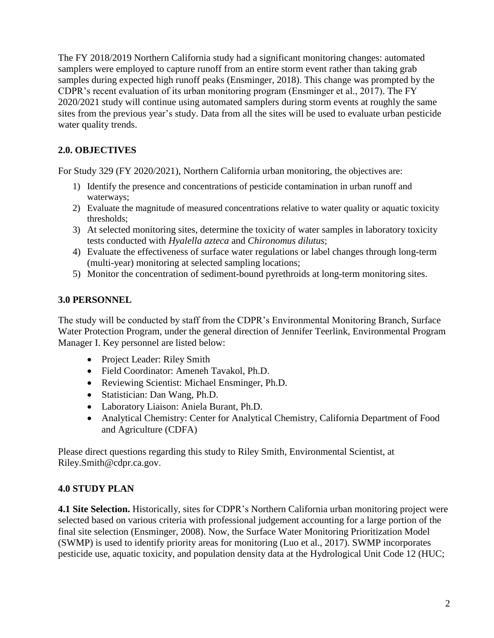The FY 2018/2019 Northern California study had a significant monitoring changes: automated samplers were employed to capture runoff from an entire storm event rather than taking grab samples during expected high runoff peaks (Ensminger, 2018). This change was prompted by the CDPR's recent evaluation of its urban monitoring program (Ensminger et al., 2017). The FY 2020/2021 study will continue using automated samplers during storm events at roughly the same sites from the previous year's study. Data from all the sites will be used to evaluate urban pesticide water quality trends.

# **2.0. OBJECTIVES**

For Study 329 (FY 2020/2021), Northern California urban monitoring, the objectives are:

- 1) Identify the presence and concentrations of pesticide contamination in urban runoff and waterways;
- 2) Evaluate the magnitude of measured concentrations relative to water quality or aquatic toxicity thresholds;
- 3) At selected monitoring sites, determine the toxicity of water samples in laboratory toxicity tests conducted with *Hyalella azteca* and *Chironomus dilutus*;
- 4) Evaluate the effectiveness of surface water regulations or label changes through long-term (multi-year) monitoring at selected sampling locations;
- 5) Monitor the concentration of sediment-bound pyrethroids at long-term monitoring sites.

### **3.0 PERSONNEL**

The study will be conducted by staff from the CDPR's Environmental Monitoring Branch, Surface Water Protection Program, under the general direction of Jennifer Teerlink, Environmental Program Manager I. Key personnel are listed below:

- Project Leader: Riley Smith
- Field Coordinator: Ameneh Tavakol, Ph.D.
- Reviewing Scientist: Michael Ensminger, Ph.D.
- Statistician: Dan Wang, Ph.D.
- Laboratory Liaison: Aniela Burant, Ph.D.
- Analytical Chemistry: Center for Analytical Chemistry, California Department of Food and Agriculture (CDFA)

Please direct questions regarding this study to Riley Smith, Environmental Scientist, at [Riley.Smith@cdpr.ca.gov.](mailto:Riley.Smith@cdpr.ca.gov)

### **4.0 STUDY PLAN**

**4.1 Site Selection.** Historically, sites for CDPR's Northern California urban monitoring project were selected based on various criteria with professional judgement accounting for a large portion of the final site selection (Ensminger, 2008). Now, the Surface Water Monitoring Prioritization Model (SWMP) is used to identify priority areas for monitoring (Luo et al., 2017). SWMP incorporates pesticide use, aquatic toxicity, and population density data at the Hydrological Unit Code 12 (HUC;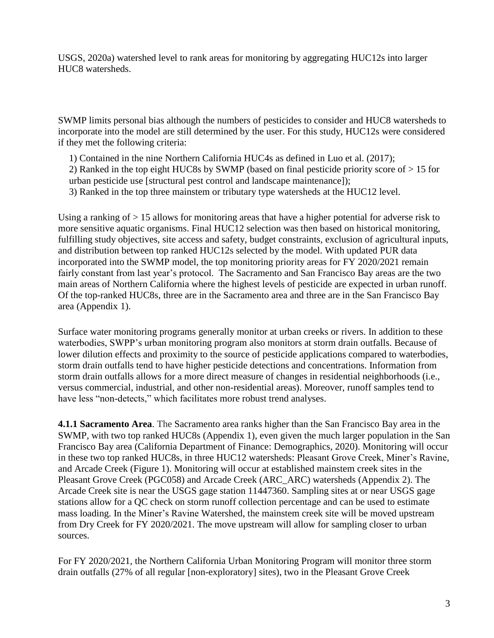USGS, 2020a) watershed level to rank areas for monitoring by aggregating HUC12s into larger HUC8 watersheds.

SWMP limits personal bias although the numbers of pesticides to consider and HUC8 watersheds to incorporate into the model are still determined by the user. For this study, HUC12s were considered if they met the following criteria:

1) Contained in the nine Northern California HUC4s as defined in Luo et al. (2017);

2) Ranked in the top eight HUC8s by SWMP (based on final pesticide priority score of > 15 for urban pesticide use [structural pest control and landscape maintenance]);

3) Ranked in the top three mainstem or tributary type watersheds at the HUC12 level.

Using a ranking of > 15 allows for monitoring areas that have a higher potential for adverse risk to more sensitive aquatic organisms. Final HUC12 selection was then based on historical monitoring, fulfilling study objectives, site access and safety, budget constraints, exclusion of agricultural inputs, and distribution between top ranked HUC12s selected by the model. With updated PUR data incorporated into the SWMP model, the top monitoring priority areas for FY 2020/2021 remain fairly constant from last year's protocol. The Sacramento and San Francisco Bay areas are the two main areas of Northern California where the highest levels of pesticide are expected in urban runoff. Of the top-ranked HUC8s, three are in the Sacramento area and three are in the San Francisco Bay area (Appendix 1).

Surface water monitoring programs generally monitor at urban creeks or rivers. In addition to these waterbodies, SWPP's urban monitoring program also monitors at storm drain outfalls. Because of lower dilution effects and proximity to the source of pesticide applications compared to waterbodies, storm drain outfalls tend to have higher pesticide detections and concentrations. Information from storm drain outfalls allows for a more direct measure of changes in residential neighborhoods (i.e., versus commercial, industrial, and other non-residential areas). Moreover, runoff samples tend to have less "non-detects," which facilitates more robust trend analyses.

**4.1.1 Sacramento Area**. The Sacramento area ranks higher than the San Francisco Bay area in the SWMP, with two top ranked HUC8s (Appendix 1), even given the much larger population in the San Francisco Bay area (California Department of Finance: Demographics, 2020). Monitoring will occur in these two top ranked HUC8s, in three HUC12 watersheds: Pleasant Grove Creek, Miner's Ravine, and Arcade Creek (Figure 1). Monitoring will occur at established mainstem creek sites in the Pleasant Grove Creek (PGC058) and Arcade Creek (ARC\_ARC) watersheds (Appendix 2). The Arcade Creek site is near the USGS gage station 11447360. Sampling sites at or near USGS gage stations allow for a QC check on storm runoff collection percentage and can be used to estimate mass loading. In the Miner's Ravine Watershed, the mainstem creek site will be moved upstream from Dry Creek for FY 2020/2021. The move upstream will allow for sampling closer to urban sources.

For FY 2020/2021, the Northern California Urban Monitoring Program will monitor three storm drain outfalls (27% of all regular [non-exploratory] sites), two in the Pleasant Grove Creek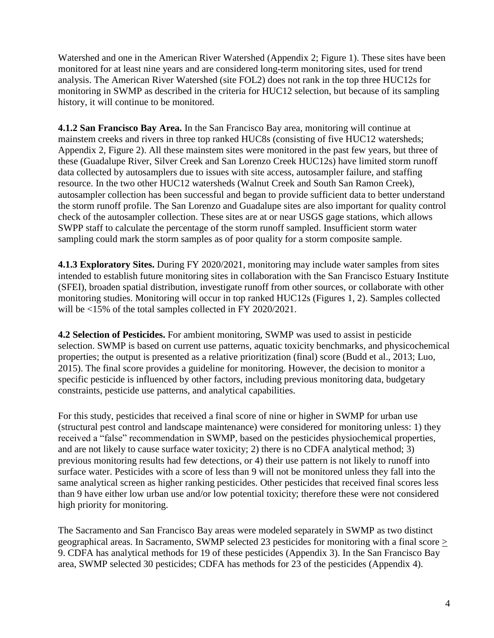monitoring in SWMP as described in the criteria for HUC12 selection, but because of its sampling Watershed and one in the American River Watershed (Appendix 2; Figure 1). These sites have been monitored for at least nine years and are considered long-term monitoring sites, used for trend analysis. The American River Watershed (site FOL2) does not rank in the top three HUC12s for history, it will continue to be monitored.

**4.1.2 San Francisco Bay Area.** In the San Francisco Bay area, monitoring will continue at mainstem creeks and rivers in three top ranked HUC8s (consisting of five HUC12 watersheds; Appendix 2, Figure 2). All these mainstem sites were monitored in the past few years, but three of these (Guadalupe River, Silver Creek and San Lorenzo Creek HUC12s) have limited storm runoff data collected by autosamplers due to issues with site access, autosampler failure, and staffing resource. In the two other HUC12 watersheds (Walnut Creek and South San Ramon Creek), autosampler collection has been successful and began to provide sufficient data to better understand the storm runoff profile. The San Lorenzo and Guadalupe sites are also important for quality control check of the autosampler collection. These sites are at or near USGS gage stations, which allows SWPP staff to calculate the percentage of the storm runoff sampled. Insufficient storm water sampling could mark the storm samples as of poor quality for a storm composite sample.

**4.1.3 Exploratory Sites.** During FY 2020/2021, monitoring may include water samples from sites intended to establish future monitoring sites in collaboration with the San Francisco Estuary Institute (SFEI), broaden spatial distribution, investigate runoff from other sources, or collaborate with other monitoring studies. Monitoring will occur in top ranked HUC12s (Figures 1, 2). Samples collected will be <15% of the total samples collected in FY 2020/2021.

**4.2 Selection of Pesticides.** For ambient monitoring, SWMP was used to assist in pesticide selection. SWMP is based on current use patterns, aquatic toxicity benchmarks, and physicochemical properties; the output is presented as a relative prioritization (final) score (Budd et al., 2013; Luo, 2015). The final score provides a guideline for monitoring. However, the decision to monitor a specific pesticide is influenced by other factors, including previous monitoring data, budgetary constraints, pesticide use patterns, and analytical capabilities.

For this study, pesticides that received a final score of nine or higher in SWMP for urban use (structural pest control and landscape maintenance) were considered for monitoring unless: 1) they received a "false" recommendation in SWMP, based on the pesticides physiochemical properties, and are not likely to cause surface water toxicity; 2) there is no CDFA analytical method; 3) previous monitoring results had few detections, or 4) their use pattern is not likely to runoff into surface water. Pesticides with a score of less than 9 will not be monitored unless they fall into the same analytical screen as higher ranking pesticides. Other pesticides that received final scores less than 9 have either low urban use and/or low potential toxicity; therefore these were not considered high priority for monitoring.

The Sacramento and San Francisco Bay areas were modeled separately in SWMP as two distinct geographical areas. In Sacramento, SWMP selected 23 pesticides for monitoring with a final score > 9. CDFA has analytical methods for 19 of these pesticides (Appendix 3). In the San Francisco Bay area, SWMP selected 30 pesticides; CDFA has methods for 23 of the pesticides (Appendix 4).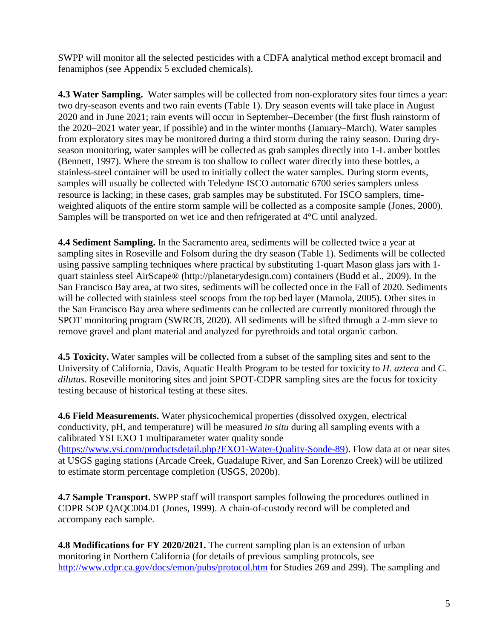SWPP will monitor all the selected pesticides with a CDFA analytical method except bromacil and fenamiphos (see Appendix 5 excluded chemicals).

 the 2020–2021 water year, if possible) and in the winter months (January–March). Water samples **4.3 Water Sampling.** Water samples will be collected from non-exploratory sites four times a year: two dry-season events and two rain events (Table 1). Dry season events will take place in August 2020 and in June 2021; rain events will occur in September–December (the first flush rainstorm of from exploratory sites may be monitored during a third storm during the rainy season. During dryseason monitoring, water samples will be collected as grab samples directly into 1-L amber bottles (Bennett, 1997). Where the stream is too shallow to collect water directly into these bottles, a stainless-steel container will be used to initially collect the water samples. During storm events, samples will usually be collected with Teledyne ISCO automatic 6700 series samplers unless resource is lacking; in these cases, grab samples may be substituted. For ISCO samplers, timeweighted aliquots of the entire storm sample will be collected as a composite sample (Jones, 2000). Samples will be transported on wet ice and then refrigerated at 4°C until analyzed.

 the San Francisco Bay area where sediments can be collected are currently monitored through the **4.4 Sediment Sampling.** In the Sacramento area, sediments will be collected twice a year at sampling sites in Roseville and Folsom during the dry season (Table 1). Sediments will be collected using passive sampling techniques where practical by substituting 1-quart Mason glass jars with 1 quart stainless steel AirScape® [\(http://planetarydesign.com](http://planetarydesign.com)) containers (Budd et al., 2009). In the San Francisco Bay area, at two sites, sediments will be collected once in the Fall of 2020. Sediments will be collected with stainless steel scoops from the top bed layer (Mamola, 2005). Other sites in SPOT monitoring program (SWRCB, 2020). All sediments will be sifted through a 2-mm sieve to remove gravel and plant material and analyzed for pyrethroids and total organic carbon.

**4.5 Toxicity.** Water samples will be collected from a subset of the sampling sites and sent to the University of California, Davis, Aquatic Health Program to be tested for toxicity to *H. azteca* and *C. dilutus*. Roseville monitoring sites and joint SPOT-CDPR sampling sites are the focus for toxicity testing because of historical testing at these sites.

**4.6 Field Measurements.** Water physicochemical properties (dissolved oxygen, electrical conductivity, pH, and temperature) will be measured *in situ* during all sampling events with a calibrated YSI EXO 1 multiparameter water quality sonde [\(https://www.ysi.com/productsdetail.php?EXO1-Water-Quality-Sonde-89\)](https://www.ysi.com/productsdetail.php?EXO1-Water-Quality-Sonde-89). Flow data at or near sites at USGS gaging stations (Arcade Creek, Guadalupe River, and San Lorenzo Creek) will be utilized to estimate storm percentage completion (USGS, 2020b).

**4.7 Sample Transport.** SWPP staff will transport samples following the procedures outlined in CDPR SOP QAQC004.01 (Jones, 1999). A chain-of-custody record will be completed and accompany each sample.

**4.8 Modifications for FY 2020/2021.** The current sampling plan is an extension of urban monitoring in Northern California (for details of previous sampling protocols, see <http://www.cdpr.ca.gov/docs/emon/pubs/protocol.htm>for Studies 269 and 299). The sampling and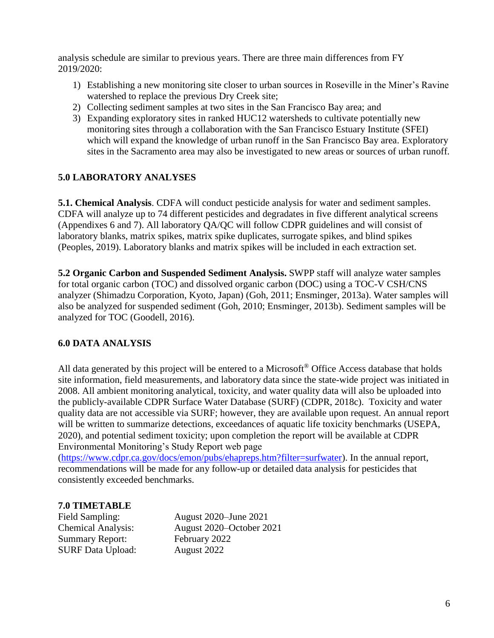analysis schedule are similar to previous years. There are three main differences from FY 2019/2020:

- 1) Establishing a new monitoring site closer to urban sources in Roseville in the Miner's Ravine watershed to replace the previous Dry Creek site;
- 2) Collecting sediment samples at two sites in the San Francisco Bay area; and
- 3) Expanding exploratory sites in ranked HUC12 watersheds to cultivate potentially new monitoring sites through a collaboration with the San Francisco Estuary Institute (SFEI) which will expand the knowledge of urban runoff in the San Francisco Bay area. Exploratory sites in the Sacramento area may also be investigated to new areas or sources of urban runoff.

### **5.0 LABORATORY ANALYSES**

**5.1. Chemical Analysis**. CDFA will conduct pesticide analysis for water and sediment samples. CDFA will analyze up to 74 different pesticides and degradates in five different analytical screens (Appendixes 6 and 7). All laboratory QA/QC will follow CDPR guidelines and will consist of laboratory blanks, matrix spikes, matrix spike duplicates, surrogate spikes, and blind spikes (Peoples, 2019). Laboratory blanks and matrix spikes will be included in each extraction set.

 for total organic carbon (TOC) and dissolved organic carbon (DOC) using a TOC-V CSH/CNS **5.2 Organic Carbon and Suspended Sediment Analysis.** SWPP staff will analyze water samples analyzer (Shimadzu Corporation, Kyoto, Japan) (Goh, 2011; Ensminger, 2013a). Water samples will also be analyzed for suspended sediment (Goh, 2010; Ensminger, 2013b). Sediment samples will be analyzed for TOC (Goodell, 2016).

### **6.0 DATA ANALYSIS**

All data generated by this project will be entered to a Microsoft<sup>®</sup> Office Access database that holds site information, field measurements, and laboratory data since the state-wide project was initiated in 2008. All ambient monitoring analytical, toxicity, and water quality data will also be uploaded into the publicly-available CDPR Surface Water Database (SURF) (CDPR, 2018c). Toxicity and water quality data are not accessible via SURF; however, they are available upon request. An annual report will be written to summarize detections, exceedances of aquatic life toxicity benchmarks (USEPA, 2020), and potential sediment toxicity; upon completion the report will be available at CDPR Environmental Monitoring's Study Report web page

[\(https://www.cdpr.ca.gov/docs/emon/pubs/ehapreps.htm?filter=surfwater\)](https://www.cdpr.ca.gov/docs/emon/pubs/ehapreps.htm?filter=surfwater). In the annual report, recommendations will be made for any follow-up or detailed data analysis for pesticides that consistently exceeded benchmarks.

### **7.0 TIMETABLE**

Summary Report: February 2022 SURF Data Upload: August 2022

Field Sampling: August 2020–June 2021 Chemical Analysis: August 2020–October 2021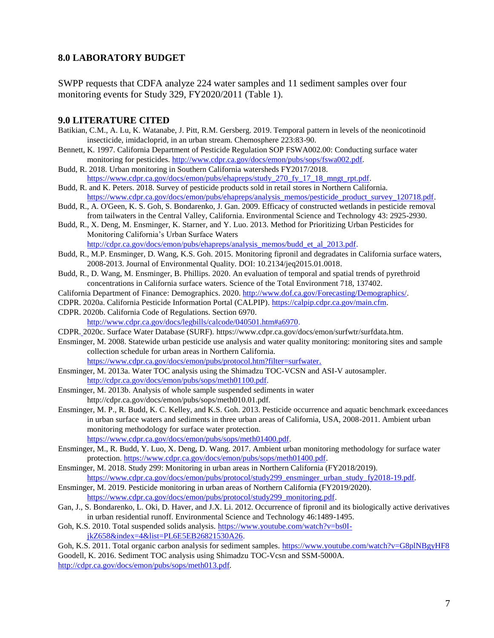#### **8.0 LABORATORY BUDGET**

SWPP requests that CDFA analyze 224 water samples and 11 sediment samples over four monitoring events for Study 329, FY2020/2011 (Table 1).

#### **9.0 LITERATURE CITED**

- Batikian, C.M., A. Lu, K. Watanabe, J. Pitt, R.M. Gersberg. 2019. Temporal pattern in levels of the neonicotinoid insecticide, imidacloprid, in an urban stream. Chemosphere 223:83-90.
- monitoring for pesticides. [http://www.cdpr.ca.gov/docs/emon/pubs/sops/fswa002.pdf.](http://www.cdpr.ca.gov/docs/emon/pubs/sops/fswa002.pdf) Bennett, K. 1997. California Department of Pesticide Regulation SOP FSWA002.00: Conducting surface water
- Budd, R. 2018. Urban monitoring in Southern California watersheds FY2017/2018. [https://www.cdpr.ca.gov/docs/emon/pubs/ehapreps/study\\_270\\_fy\\_17\\_18\\_mngt\\_rpt.pdf.](https://www.cdpr.ca.gov/docs/emon/pubs/ehapreps/study_270_fy_17_18_mngt_rpt.pdf)
- Budd, R. and K. Peters. 2018. Survey of pesticide products sold in retail stores in Northern California. [https://www.cdpr.ca.gov/docs/emon/pubs/ehapreps/analysis\\_memos/pesticide\\_product\\_survey\\_120718.pdf.](https://www.cdpr.ca.gov/docs/emon/pubs/ehapreps/analysis_memos/pesticide_product_survey_120718.pdf)
- Budd, R., A. O'Geen, K. S. Goh, S. Bondarenko, J. Gan. 2009. Efficacy of constructed wetlands in pesticide removal from tailwaters in the Central Valley, California. Environmental Science and Technology 43: 2925-2930.
- Budd, R., X. Deng, M. Ensminger, K. Starner, and Y. Luo. 2013. Method for Prioritizing Urban Pesticides for Monitoring California's Urban Surface Waters [http://cdpr.ca.gov/docs/emon/pubs/ehapreps/analysis\\_memos/budd\\_et\\_al\\_2013.pdf.](http://cdpr.ca.gov/docs/emon/pubs/ehapreps/analysis_memos/budd_et_al_2013.pdf)
- Budd, R., M.P. Ensminger, D. Wang, K.S. Goh. 2015. Monitoring fipronil and degradates in California surface waters, 2008-2013. Journal of Environmental Quality. DOI: 10.2134/jeq2015.01.0018.
- Budd, R., D. Wang, M. Ensminger, B. Phillips. 2020. An evaluation of temporal and spatial trends of pyrethroid concentrations in California surface waters. Science of the Total Environment 718, 137402.
- California Department of Finance: Demographics. 2020. [http://www.dof.ca.gov/Forecasting/Demographics/.](http://www.dof.ca.gov/Forecasting/Demographics/)
- CDPR. 2020a. California Pesticide Information Portal (CALPIP). [https://calpip.cdpr.ca.gov/main.cfm.](https://calpip.cdpr.ca.gov/main.cfm)
- CDPR. 2020b. California Code of Regulations. Section 6970. [http://www.cdpr.ca.gov/docs/legbills/calcode/040501.htm#a6970.](http://www.cdpr.ca.gov/docs/legbills/calcode/040501.htm%23a6970)
- CDPR. 2020c. Surface Water Database (SURF). [https://www.cdpr.ca.gov/docs/emon/surfwtr/surfdata.htm.](https://www.cdpr.ca.gov/docs/emon/surfwtr/surfdata.htm)
- Ensminger, M. 2008. Statewide urban pesticide use analysis and water quality monitoring: monitoring sites and sample collection schedule for urban areas in Northern California. <https://www.cdpr.ca.gov/docs/emon/pubs/protocol.htm?filter=surfwater.>
- Ensminger, M. 2013a. Water TOC analysis using the Shimadzu TOC-VCSN and ASI-V autosampler. [http://cdpr.ca.gov/docs/emon/pubs/sops/meth01100.pdf.](http://cdpr.ca.gov/docs/emon/pubs/sops/meth01100.pdf)
- Ensminger, M. 2013b. Analysis of whole sample suspended sediments in water [http://cdpr.ca.gov/docs/emon/pubs/sops/meth010.01.pdf.](http://cdpr.ca.gov/docs/emon/pubs/sops/meth010.01.pdf)
- Ensminger, M. P., R. Budd, K. C. Kelley, and K.S. Goh. 2013. Pesticide occurrence and aquatic benchmark exceedances in urban surface waters and sediments in three urban areas of California, USA, 2008-2011. Ambient urban monitoring methodology for surface water protection. [https://www.cdpr.ca.gov/docs/emon/pubs/sops/meth01400.pdf.](https://www.cdpr.ca.gov/docs/emon/pubs/sops/meth01400.pdf)
- Ensminger, M., R. Budd, Y. Luo, X. Deng, D. Wang. 2017. Ambient urban monitoring methodology for surface water protection[. https://www.cdpr.ca.gov/docs/emon/pubs/sops/meth01400.pdf.](https://www.cdpr.ca.gov/docs/emon/pubs/sops/meth01400.pdf)
- Ensminger, M. 2018. Study 299: Monitoring in urban areas in Northern California (FY2018/2019). [https://www.cdpr.ca.gov/docs/emon/pubs/protocol/study299\\_ensminger\\_urban\\_study\\_fy2018-19.pdf.](https://www.cdpr.ca.gov/docs/emon/pubs/protocol/study299_ensminger_urban_study_fy2018-19.pdf)
- Ensminger, M. 2019. Pesticide monitoring in urban areas of Northern California (FY2019/2020). [https://www.cdpr.ca.gov/docs/emon/pubs/protocol/study299\\_monitoring.pdf.](https://www.cdpr.ca.gov/docs/emon/pubs/protocol/study299_monitoring.pdf)
- Gan, J., S. Bondarenko, L. Oki, D. Haver, and J.X. Li. 2012. Occurrence of fipronil and its biologically active derivatives in urban residential runoff. Environmental Science and Technology 46:1489-1495.
- Goh, K.S. 2010. Total suspended solids analysis. [https://www.youtube.com/watch?v=bs0I](https://www.youtube.com/watch?v=bs0I-jkZ658&index=4&list=PL6E5EB26821530A26)[jkZ658&index=4&list=PL6E5EB26821530A26.](https://www.youtube.com/watch?v=bs0I-jkZ658&index=4&list=PL6E5EB26821530A26)

Goh, K.S. 2011. Total organic carbon analysis for sediment samples. https://www.youtube.com/watch?v=G8plNBgyHF8 Goodell, K. 2016. Sediment TOC analysis using Shimadzu TOC-Vcsn and SSM-5000A. [http://cdpr.ca.gov/docs/emon/pubs/sops/meth013.pdf.](http://cdpr.ca.gov/docs/emon/pubs/sops/meth013.pdf)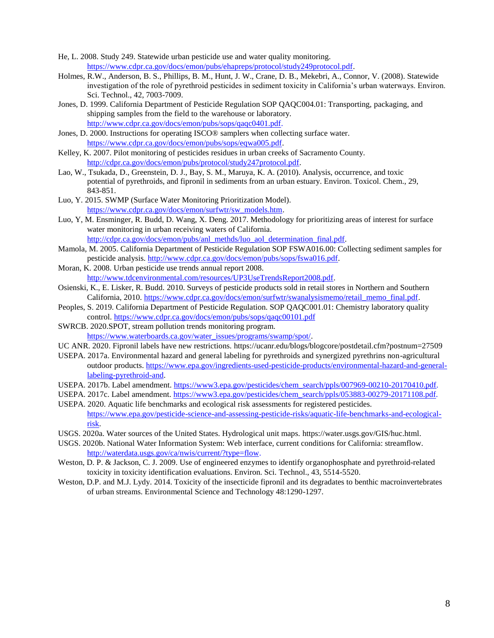- He, L. 2008. Study 249. Statewide urban pesticide use and water quality monitoring. [https://www.cdpr.ca.gov/docs/emon/pubs/ehapreps/protocol/study249protocol.pdf.](https://www.cdpr.ca.gov/docs/emon/pubs/ehapreps/protocol/study249protocol.pdf)
- Holmes, R.W., Anderson, B. S., Phillips, B. M., Hunt, J. W., Crane, D. B., Mekebri, A., Connor, V. (2008). Statewide investigation of the role of pyrethroid pesticides in sediment toxicity in California's urban waterways. Environ. Sci. Technol., 42, 7003-7009.
- Jones, D. 1999. California Department of Pesticide Regulation SOP QAQC004.01: Transporting, packaging, and shipping samples from the field to the warehouse or laboratory. [http://www.cdpr.ca.gov/docs/emon/pubs/sops/qaqc0401.pdf.](http://www.cdpr.ca.gov/docs/emon/pubs/sops/qaqc0401.pdf)
- Jones, D. 2000. Instructions for operating ISCO® samplers when collecting surface water. [https://www.cdpr.ca.gov/docs/emon/pubs/sops/eqwa005.pdf.](https://www.cdpr.ca.gov/docs/emon/pubs/sops/eqwa005.pdf)
- Kelley, K. 2007. Pilot monitoring of pesticides residues in urban creeks of Sacramento County. [http://cdpr.ca.gov/docs/emon/pubs/protocol/study247protocol.pdf.](http://cdpr.ca.gov/docs/emon/pubs/protocol/study247protocol.pdf)
- Lao, W., Tsukada, D., Greenstein, D. J., Bay, S. M., Maruya, K. A. (2010). Analysis, occurrence, and toxic potential of pyrethroids, and fipronil in sediments from an urban estuary. Environ. Toxicol. Chem., 29, 843-851.
- Luo, Y. 2015. SWMP (Surface Water Monitoring Prioritization Model). [https://www.cdpr.ca.gov/docs/emon/surfwtr/sw\\_models.htm.](https://www.cdpr.ca.gov/docs/emon/surfwtr/sw_models.htm)
- Luo, Y, M. Ensminger, R. Budd, D. Wang, X. Deng. 2017. Methodology for prioritizing areas of interest for surface water monitoring in urban receiving waters of California. [http://cdpr.ca.gov/docs/emon/pubs/anl\\_methds/luo\\_aol\\_determination\\_final.pdf.](http://cdpr.ca.gov/docs/emon/pubs/anl_methds/luo_aol_determination_final.pdf)
- Mamola, M. 2005. California Department of Pesticide Regulation SOP FSWA016.00: Collecting sediment samples for pesticide analysis. [http://www.cdpr.ca.gov/docs/emon/pubs/sops/fswa016.pdf.](http://www.cdpr.ca.gov/docs/emon/pubs/sops/fswa016.pdf)
- Moran, K. 2008. Urban pesticide use trends annual report 2008. [http://www.tdcenvironmental.com/resources/UP3UseTrendsReport2008.pdf.](http://www.tdcenvironmental.com/resources/UP3UseTrendsReport2008.pdf)
- Osienski, K., E. Lisker, R. Budd. 2010. Surveys of pesticide products sold in retail stores in Northern and Southern California, 2010. https://www.cdpr.ca.gov/docs/emon/surfwtr/swanalysismemo/retail\_memo\_final.pdf.
- Peoples, S. 2019. California Department of Pesticide Regulation. SOP QAQC001.01: Chemistry laboratory quality control.<https://www.cdpr.ca.gov/docs/emon/pubs/sops/qaqc00101.pdf>
- SWRCB. 2020.SPOT, stream pollution trends monitoring program. [https://www.waterboards.ca.gov/water\\_issues/programs/swamp/spot/.](https://www.waterboards.ca.gov/water_issues/programs/swamp/spot/)
- UC ANR. 2020. Fipronil labels have new restrictions. <https://ucanr.edu/blogs/blogcore/postdetail.cfm?postnum=27509>
- USEPA. 2017a. Environmental hazard and general labeling for pyrethroids and synergized pyrethrins non-agricultural outdoor products. [https://www.epa.gov/ingredients-used-pesticide-products/environmental-hazard-and-general](https://www.epa.gov/ingredients-used-pesticide-products/environmental-hazard-and-general-labeling-pyrethroid-and)[labeling-pyrethroid-and.](https://www.epa.gov/ingredients-used-pesticide-products/environmental-hazard-and-general-labeling-pyrethroid-and)
- USEPA. 2017b. Label amendment. [https://www3.epa.gov/pesticides/chem\\_search/ppls/007969-00210-20170410.pdf.](https://www3.epa.gov/pesticides/chem_search/ppls/007969-00210-20170410.pdf)
- USEPA. 2017c. Label amendment. [https://www3.epa.gov/pesticides/chem\\_search/ppls/053883-00279-20171108.pdf.](https://www3.epa.gov/pesticides/chem_search/ppls/053883-00279-20171108.pdf)

 USEPA. 2020. Aquatic life benchmarks and ecological risk assessments for registered pesticides. [https://www.epa.gov/pesticide-science-and-assessing-pesticide-risks/aquatic-life-benchmarks-and-ecological](https://www.epa.gov/pesticide-science-and-assessing-pesticide-risks/aquatic-life-benchmarks-and-ecological-risk)[risk.](https://www.epa.gov/pesticide-science-and-assessing-pesticide-risks/aquatic-life-benchmarks-and-ecological-risk)

- USGS. 2020a. Water sources of the United States. Hydrological unit maps. [https://water.usgs.gov/GIS/huc.html.](https://water.usgs.gov/GIS/huc.html)
- USGS. 2020b. National Water Information System: Web interface, current conditions for California: streamflow. [http://waterdata.usgs.gov/ca/nwis/current/?type=flow.](http://waterdata.usgs.gov/ca/nwis/current/?type=flow)
- Weston, D. P. & Jackson, C. J. 2009. Use of engineered enzymes to identify organophosphate and pyrethroid-related toxicity in toxicity identification evaluations. Environ. Sci. Technol., 43, 5514-5520.
- Weston, D.P. and M.J. Lydy. 2014. Toxicity of the insecticide fipronil and its degradates to benthic macroinvertebrates of urban streams. Environmental Science and Technology 48:1290-1297.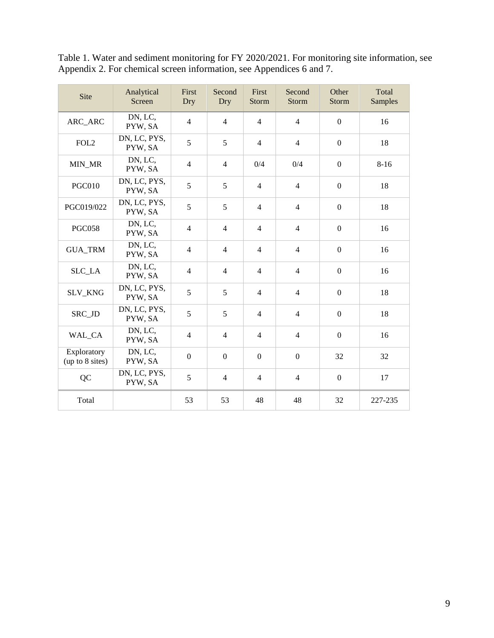| Site                           | Analytical<br>Screen    | <b>First</b><br>Dry | Second<br>Dry  | First<br>Storm | Second<br><b>Storm</b> | Other<br><b>Storm</b> | Total<br><b>Samples</b> |
|--------------------------------|-------------------------|---------------------|----------------|----------------|------------------------|-----------------------|-------------------------|
| ARC_ARC                        | DN, LC,<br>PYW, SA      | $\overline{4}$      | $\overline{4}$ | $\overline{4}$ | $\overline{4}$         | $\overline{0}$        | 16                      |
| FOL <sub>2</sub>               | DN, LC, PYS,<br>PYW, SA | 5                   | 5              | $\overline{4}$ | $\overline{4}$         | $\Omega$              | 18                      |
| MIN_MR                         | DN, LC,<br>PYW, SA      | $\overline{4}$      | $\overline{4}$ | 0/4            | 0/4                    | $\Omega$              | $8 - 16$                |
| <b>PGC010</b>                  | DN, LC, PYS,<br>PYW, SA | 5                   | 5              | $\overline{4}$ | $\overline{4}$         | $\Omega$              | 18                      |
| PGC019/022                     | DN, LC, PYS,<br>PYW, SA | 5                   | 5              | $\overline{4}$ | $\overline{4}$         | $\mathbf{0}$          | 18                      |
| <b>PGC058</b>                  | DN, LC,<br>PYW, SA      | $\overline{4}$      | $\overline{4}$ | $\overline{4}$ | $\overline{4}$         | $\mathbf{0}$          | 16                      |
| <b>GUA_TRM</b>                 | DN, LC,<br>PYW, SA      | $\overline{4}$      | $\overline{4}$ | $\overline{4}$ | $\overline{4}$         | $\boldsymbol{0}$      | 16                      |
| SLC_LA                         | DN, LC,<br>PYW, SA      | $\overline{4}$      | $\overline{4}$ | $\overline{4}$ | $\overline{4}$         | $\boldsymbol{0}$      | 16                      |
| SLV_KNG                        | DN, LC, PYS,<br>PYW, SA | 5                   | 5              | $\overline{4}$ | $\overline{4}$         | $\mathbf{0}$          | 18                      |
| SRC_JD                         | DN, LC, PYS,<br>PYW, SA | 5                   | 5              | $\overline{4}$ | $\overline{4}$         | $\mathbf{0}$          | 18                      |
| WAL_CA                         | DN, LC,<br>PYW, SA      | $\overline{4}$      | $\overline{4}$ | $\overline{4}$ | $\overline{4}$         | $\mathbf{0}$          | 16                      |
| Exploratory<br>(up to 8 sites) | DN, LC,<br>PYW, SA      | $\boldsymbol{0}$    | $\mathbf{0}$   | $\overline{0}$ | $\overline{0}$         | 32                    | 32                      |
| QC                             | DN, LC, PYS,<br>PYW, SA | 5                   | $\overline{4}$ | $\overline{4}$ | $\overline{4}$         | $\boldsymbol{0}$      | 17                      |
| Total                          |                         | 53                  | 53             | 48             | 48                     | 32                    | 227-235                 |

Table 1. Water and sediment monitoring for FY 2020/2021. For monitoring site information, see Appendix 2. For chemical screen information, see Appendices 6 and 7.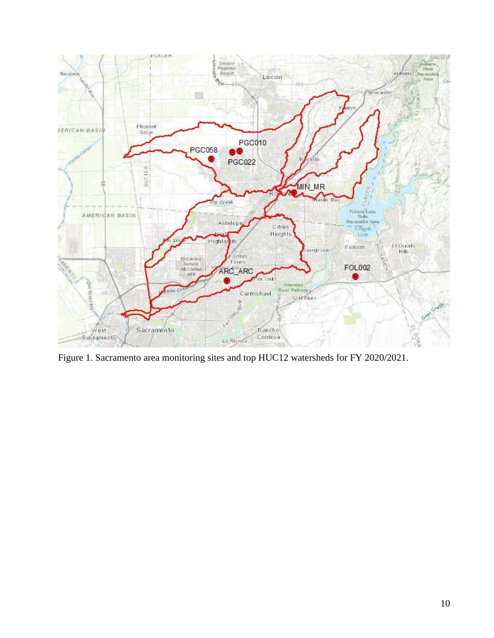

Figure 1. Sacramento area monitoring sites and top HUC12 watersheds for FY 2020/2021.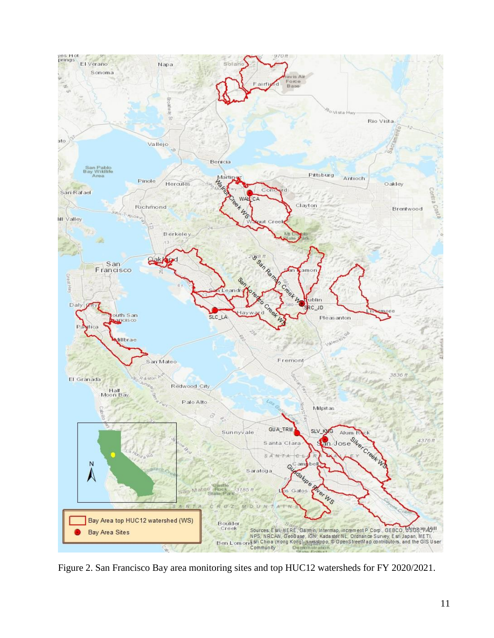

Figure 2. San Francisco Bay area monitoring sites and top HUC12 watersheds for FY 2020/2021.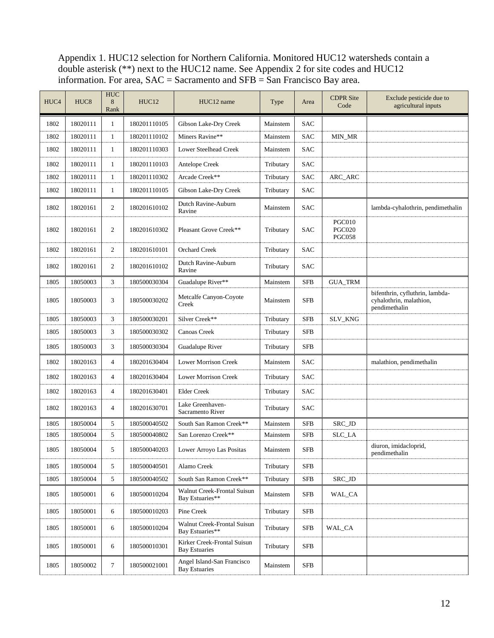Appendix 1. HUC12 selection for Northern California. Monitored HUC12 watersheds contain a double asterisk (\*\*) next to the HUC12 name. See Appendix 2 for site codes and HUC12 information. For area,  $SAC =$  Sacramento and  $SFB =$  San Francisco Bay area.

| HUC4 | HUC <sub>8</sub> | <b>HUC</b><br>8<br>Rank | HUC12        | HUC12 name                                          | Type      | Area       | <b>CDPR</b> Site<br>Code                        | Exclude pesticide due to<br>agricultural inputs                             |
|------|------------------|-------------------------|--------------|-----------------------------------------------------|-----------|------------|-------------------------------------------------|-----------------------------------------------------------------------------|
| 1802 | 18020111         | 1                       | 180201110105 | Gibson Lake-Dry Creek                               | Mainstem  | <b>SAC</b> |                                                 |                                                                             |
| 1802 | 18020111         | 1                       | 180201110102 | Miners Ravine**                                     | Mainstem  | <b>SAC</b> | MIN_MR                                          |                                                                             |
| 1802 | 18020111         | $\mathbf{1}$            | 180201110303 | <b>Lower Steelhead Creek</b>                        | Mainstem  | <b>SAC</b> |                                                 |                                                                             |
| 1802 | 18020111         | 1                       | 180201110103 | Antelope Creek                                      | Tributary | <b>SAC</b> |                                                 |                                                                             |
| 1802 | 18020111         | $\mathbf{1}$            | 180201110302 | Arcade Creek**                                      | Tributary | <b>SAC</b> | ARC_ARC                                         |                                                                             |
| 1802 | 18020111         | 1                       | 180201110105 | Gibson Lake-Dry Creek                               | Tributary | <b>SAC</b> |                                                 |                                                                             |
| 1802 | 18020161         | 2                       | 180201610102 | Dutch Ravine-Auburn<br>Ravine                       | Mainstem  | <b>SAC</b> |                                                 | lambda-cyhalothrin, pendimethalin                                           |
| 1802 | 18020161         | 2                       | 180201610302 | Pleasant Grove Creek**                              | Tributary | <b>SAC</b> | <b>PGC010</b><br><b>PGC020</b><br><b>PGC058</b> |                                                                             |
| 1802 | 18020161         | 2                       | 180201610101 | <b>Orchard Creek</b>                                | Tributary | <b>SAC</b> |                                                 |                                                                             |
| 1802 | 18020161         | 2                       | 180201610102 | Dutch Ravine-Auburn<br>Ravine                       | Tributary | <b>SAC</b> |                                                 |                                                                             |
| 1805 | 18050003         | 3                       | 180500030304 | Guadalupe River**                                   | Mainstem  | <b>SFB</b> | <b>GUA_TRM</b>                                  |                                                                             |
| 1805 | 18050003         | 3                       | 180500030202 | Metcalfe Canyon-Coyote<br>Creek                     | Mainstem  | <b>SFB</b> |                                                 | bifenthrin, cyfluthrin, lambda-<br>cyhalothrin, malathion,<br>pendimethalin |
| 1805 | 18050003         | 3                       | 180500030201 | Silver Creek**                                      | Tributary | <b>SFB</b> | SLV_KNG                                         |                                                                             |
| 1805 | 18050003         | 3                       | 180500030302 | Canoas Creek                                        | Tributary | <b>SFB</b> |                                                 |                                                                             |
| 1805 | 18050003         | 3                       | 180500030304 | Guadalupe River                                     | Tributary | <b>SFB</b> |                                                 |                                                                             |
| 1802 | 18020163         | $\overline{4}$          | 180201630404 | <b>Lower Morrison Creek</b>                         | Mainstem  | SAC        |                                                 | malathion, pendimethalin                                                    |
| 1802 | 18020163         | $\overline{4}$          | 180201630404 | <b>Lower Morrison Creek</b>                         | Tributary | <b>SAC</b> |                                                 |                                                                             |
| 1802 | 18020163         | $\overline{4}$          | 180201630401 | <b>Elder Creek</b>                                  | Tributary | <b>SAC</b> |                                                 |                                                                             |
| 1802 | 18020163         | 4                       | 180201630701 | Lake Greenhaven-<br>Sacramento River                | Tributary | <b>SAC</b> |                                                 |                                                                             |
| 1805 | 18050004         | 5                       | 180500040502 | South San Ramon Creek**                             | Mainstem  | <b>SFB</b> | SRC_JD                                          |                                                                             |
| 1805 | 18050004         | 5                       | 180500040802 | San Lorenzo Creek**                                 | Mainstem  | <b>SFB</b> | SLC_LA                                          |                                                                             |
| 1805 | 18050004         | 5                       | 180500040203 | Lower Arroyo Las Positas                            | Mainstem  | <b>SFB</b> |                                                 | diuron, imidacloprid,<br>pendimethalin                                      |
| 1805 | 18050004         | 5                       | 180500040501 | Alamo Creek                                         | Tributary | <b>SFB</b> |                                                 |                                                                             |
| 1805 | 18050004         | 5                       | 180500040502 | South San Ramon Creek**                             | Tributary | <b>SFB</b> | SRC_JD                                          |                                                                             |
| 1805 | 18050001         | 6                       | 180500010204 | Walnut Creek-Frontal Suisun<br>Bay Estuaries**      | Mainstem  | <b>SFB</b> | WAL_CA                                          |                                                                             |
| 1805 | 18050001         | 6                       | 180500010203 | Pine Creek                                          | Tributary | <b>SFB</b> |                                                 |                                                                             |
| 1805 | 18050001         | 6                       | 180500010204 | Walnut Creek-Frontal Suisun<br>Bay Estuaries**      | Tributary | <b>SFB</b> | WAL_CA                                          |                                                                             |
| 1805 | 18050001         | 6                       | 180500010301 | Kirker Creek-Frontal Suisun<br><b>Bay Estuaries</b> | Tributary | <b>SFB</b> |                                                 |                                                                             |
| 1805 | 18050002         | 7                       | 180500021001 | Angel Island-San Francisco<br><b>Bay Estuaries</b>  | Mainstem  | <b>SFB</b> |                                                 |                                                                             |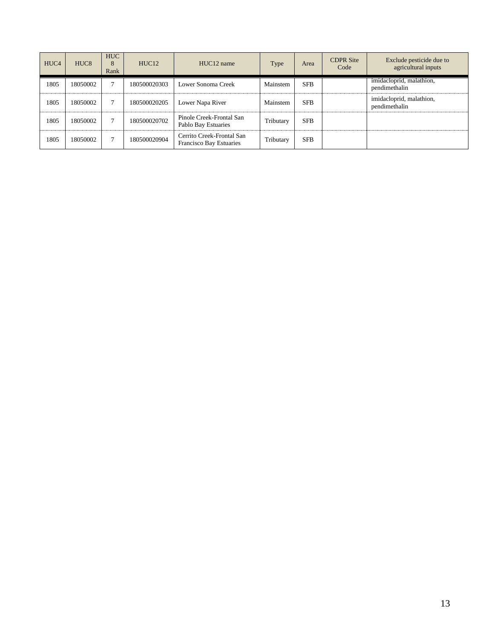| HUC <sub>4</sub> | HUC <sub>8</sub> | <b>HUC</b><br>8<br>Rank | HUC <sub>12</sub> | HUC <sub>12</sub> name                                      | Type      | Area       | <b>CDPR</b> Site<br>Code | Exclude pesticide due to<br>agricultural inputs |
|------------------|------------------|-------------------------|-------------------|-------------------------------------------------------------|-----------|------------|--------------------------|-------------------------------------------------|
| 1805             | 18050002         |                         | 180500020303      | Lower Sonoma Creek                                          | Mainstem  | <b>SFB</b> |                          | imidacloprid, malathion,<br>pendimethalin       |
| 1805             | 18050002         |                         | 180500020205      | Lower Napa River                                            | Mainstem  | <b>SFB</b> |                          | imidacloprid, malathion,<br>pendimethalin       |
| 1805             | 18050002         |                         | 180500020702      | Pinole Creek-Frontal San<br>Pablo Bay Estuaries             | Tributary | <b>SFB</b> |                          |                                                 |
| 1805             | 18050002         |                         | 180500020904      | Cerrito Creek-Frontal San<br><b>Francisco Bay Estuaries</b> | Tributary | <b>SFB</b> |                          |                                                 |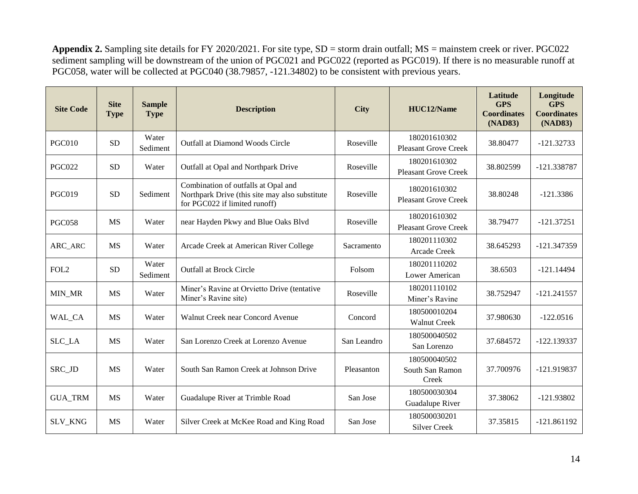**Appendix 2.** Sampling site details for FY 2020/2021. For site type, SD = storm drain outfall; MS = mainstem creek or river. PGC022 sediment sampling will be downstream of the union of PGC021 and PGC022 (reported as PGC019). If there is no measurable runoff at PGC058, water will be collected at PGC040 (38.79857, -121.34802) to be consistent with previous years.

| <b>Site Code</b>                           | <b>Site</b><br><b>Type</b> | <b>Sample</b><br><b>Type</b> | <b>Description</b>                                                                                                     | <b>City</b> | HUC12/Name                                  | Latitude<br><b>GPS</b><br><b>Coordinates</b><br>(NAD83) | Longitude<br><b>GPS</b><br><b>Coordinates</b><br>(NAD83) |
|--------------------------------------------|----------------------------|------------------------------|------------------------------------------------------------------------------------------------------------------------|-------------|---------------------------------------------|---------------------------------------------------------|----------------------------------------------------------|
| <b>PGC010</b>                              | <b>SD</b>                  | Water<br>Sediment            | <b>Outfall at Diamond Woods Circle</b>                                                                                 | Roseville   | 180201610302<br><b>Pleasant Grove Creek</b> | 38.80477                                                | $-121.32733$                                             |
| <b>PGC022</b>                              | <b>SD</b>                  | Water                        | Outfall at Opal and Northpark Drive                                                                                    | Roseville   | 180201610302<br><b>Pleasant Grove Creek</b> | 38.802599                                               | -121.338787                                              |
| <b>PGC019</b>                              | <b>SD</b>                  | Sediment                     | Combination of outfalls at Opal and<br>Northpark Drive (this site may also substitute<br>for PGC022 if limited runoff) | Roseville   | 180201610302<br><b>Pleasant Grove Creek</b> | 38.80248                                                | $-121.3386$                                              |
| <b>PGC058</b>                              | <b>MS</b>                  | Water                        | near Hayden Pkwy and Blue Oaks Blvd                                                                                    | Roseville   | 180201610302<br><b>Pleasant Grove Creek</b> | 38.79477                                                | $-121.37251$                                             |
| $\mbox{{\sc ARC}}\xspace_\mbox{{\sc ARC}}$ | <b>MS</b>                  | Water                        | Arcade Creek at American River College                                                                                 | Sacramento  | 180201110302<br>Arcade Creek                | 38.645293                                               | -121.347359                                              |
| FOL <sub>2</sub>                           | <b>SD</b>                  | Water<br>Sediment            | <b>Outfall at Brock Circle</b>                                                                                         | Folsom      | 180201110202<br>Lower American              | 38.6503                                                 | $-121.14494$                                             |
| MIN_MR                                     | <b>MS</b>                  | Water                        | Miner's Ravine at Orvietto Drive (tentative<br>Miner's Ravine site)                                                    | Roseville   | 180201110102<br>Miner's Ravine              | 38.752947                                               | $-121.241557$                                            |
| WAL_CA                                     | <b>MS</b>                  | Water                        | Walnut Creek near Concord Avenue                                                                                       | Concord     | 180500010204<br><b>Walnut Creek</b>         | 37.980630                                               | $-122.0516$                                              |
| SLC_LA                                     | <b>MS</b>                  | Water                        | San Lorenzo Creek at Lorenzo Avenue                                                                                    | San Leandro | 180500040502<br>San Lorenzo                 | 37.684572                                               | $-122.139337$                                            |
| SRC_JD                                     | <b>MS</b>                  | Water                        | South San Ramon Creek at Johnson Drive                                                                                 | Pleasanton  | 180500040502<br>South San Ramon<br>Creek    | 37.700976                                               | -121.919837                                              |
| <b>GUA_TRM</b>                             | <b>MS</b>                  | Water                        | Guadalupe River at Trimble Road                                                                                        | San Jose    | 180500030304<br>Guadalupe River             | 37.38062                                                | $-121.93802$                                             |
| SLV_KNG                                    | <b>MS</b>                  | Water                        | Silver Creek at McKee Road and King Road                                                                               | San Jose    | 180500030201<br><b>Silver Creek</b>         | 37.35815                                                | $-121.861192$                                            |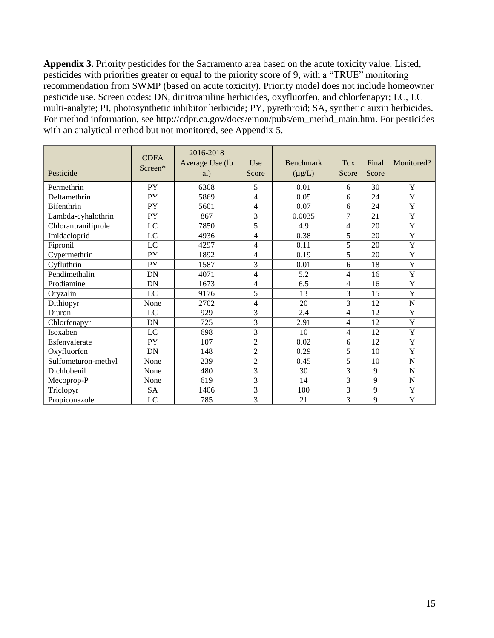**Appendix 3.** Priority pesticides for the Sacramento area based on the acute toxicity value. Listed, pesticides with priorities greater or equal to the priority score of 9, with a "TRUE" monitoring recommendation from SWMP (based on acute toxicity). Priority model does not include homeowner pesticide use. Screen codes: DN, dinitroaniline herbicides, oxyfluorfen, and chlorfenapyr; LC, LC multi-analyte; PI, photosynthetic inhibitor herbicide; PY, pyrethroid; SA, synthetic auxin herbicides. For method information, see [http://cdpr.ca.gov/docs/emon/pubs/em\\_methd\\_main.htm](http://cdpr.ca.gov/docs/emon/pubs/em_methd_main.htm). For pesticides with an analytical method but not monitored, see Appendix 5.

| Pesticide           | <b>CDFA</b><br>Screen* | 2016-2018<br>Average Use (lb<br>ai) | Use<br>Score   | <b>Benchmark</b><br>$(\mu g/L)$ | <b>Tox</b><br>Score | Final<br>Score | Monitored?            |
|---------------------|------------------------|-------------------------------------|----------------|---------------------------------|---------------------|----------------|-----------------------|
| Permethrin          | PY                     | 6308                                | 5              | 0.01                            | 6                   | 30             | Y                     |
| Deltamethrin        | PY                     | 5869                                | 4              | 0.05                            | 6                   | 24             | Y                     |
| <b>Bifenthrin</b>   | PY                     | 5601                                | 4              | 0.07                            | 6                   | 24             | $\overline{Y}$        |
| Lambda-cyhalothrin  | PY                     | 867                                 | 3              | 0.0035                          | 7                   | 21             | $\overline{\text{Y}}$ |
| Chlorantraniliprole | LC                     | 7850                                | 5              | 4.9                             | 4                   | 20             | $\overline{Y}$        |
| Imidacloprid        | $_{\text{LC}}$         | 4936                                | 4              | 0.38                            | 5                   | 20             | $\overline{Y}$        |
| Fipronil            | LC                     | 4297                                | 4              | 0.11                            | 5                   | 20             | Y                     |
| Cypermethrin        | PY                     | 1892                                | $\overline{4}$ | 0.19                            | $\overline{5}$      | 20             | $\overline{Y}$        |
| Cyfluthrin          | PY                     | 1587                                | 3              | 0.01                            | 6                   | 18             | $\mathbf Y$           |
| Pendimethalin       | DN                     | 4071                                | 4              | 5.2                             | $\overline{4}$      | 16             | $\overline{\text{Y}}$ |
| Prodiamine          | DN                     | 1673                                | 4              | 6.5                             | 4                   | 16             | Y                     |
| Oryzalin            | LC                     | 9176                                | 5              | 13                              | 3                   | 15             | Y                     |
| Dithiopyr           | None                   | 2702                                | 4              | 20                              | 3                   | 12             | $\mathbf N$           |
| Diuron              | LC                     | 929                                 | 3              | 2.4                             | $\overline{4}$      | 12             | Y                     |
| Chlorfenapyr        | DN                     | 725                                 | 3              | 2.91                            | 4                   | 12             | Y                     |
| Isoxaben            | LC                     | 698                                 | $\overline{3}$ | 10                              | 4                   | 12             | $\overline{\text{Y}}$ |
| Esfenvalerate       | PY                     | 107                                 | $\overline{2}$ | 0.02                            | 6                   | 12             | Y                     |
| Oxyfluorfen         | DN                     | 148                                 | $\overline{2}$ | 0.29                            | 5                   | 10             | Y                     |
| Sulfometuron-methyl | None                   | 239                                 | $\overline{2}$ | 0.45                            | 5                   | 10             | N                     |
| Dichlobenil         | None                   | 480                                 | $\overline{3}$ | 30                              | $\overline{3}$      | 9              | N                     |
| Mecoprop-P          | None                   | 619                                 | 3              | 14                              | 3                   | 9              | $\mathbf N$           |
| Triclopyr           | <b>SA</b>              | 1406                                | 3              | 100                             | 3                   | 9              | Y                     |
| Propiconazole       | $_{\text{LC}}$         | 785                                 | 3              | 21                              | $\overline{3}$      | 9              | $\overline{\text{Y}}$ |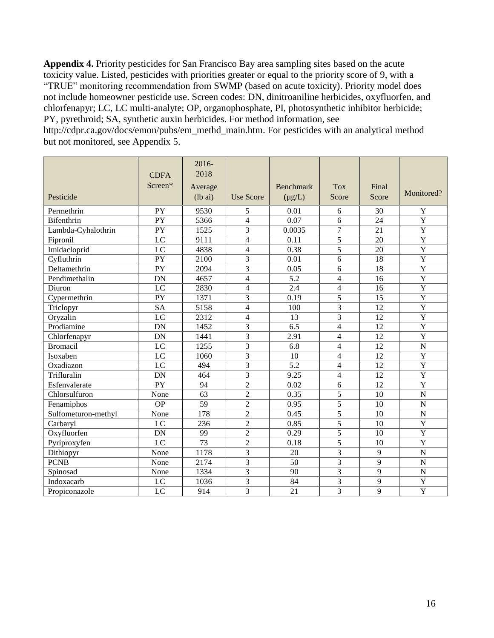**Appendix 4.** Priority pesticides for San Francisco Bay area sampling sites based on the acute toxicity value. Listed, pesticides with priorities greater or equal to the priority score of 9, with a "TRUE" monitoring recommendation from SWMP (based on acute toxicity). Priority model does not include homeowner pesticide use. Screen codes: DN, dinitroaniline herbicides, oxyfluorfen, and chlorfenapyr; LC, LC multi-analyte; OP, organophosphate, PI, photosynthetic inhibitor herbicide; PY, pyrethroid; SA, synthetic auxin herbicides. For method information, see

[http://cdpr.ca.gov/docs/emon/pubs/em\\_methd\\_main.htm.](http://cdpr.ca.gov/docs/emon/pubs/em_methd_main.htm) For pesticides with an analytical method but not monitored, see Appendix 5.

| Pesticide           | <b>CDFA</b><br>Screen* | $2016 -$<br>2018<br>Average<br>$(lb\ a)$ | <b>Use Score</b>         | <b>Benchmark</b><br>$(\mu g/L)$ | <b>Tox</b><br>Score | Final<br>Score  | Monitored?            |
|---------------------|------------------------|------------------------------------------|--------------------------|---------------------------------|---------------------|-----------------|-----------------------|
| Permethrin          | PY                     | 9530                                     | 5                        | 0.01                            | 6                   | 30              | Y                     |
| Bifenthrin          | $\overline{PY}$        | 5366                                     | $\overline{4}$           | 0.07                            | 6                   | 24              | $\overline{Y}$        |
| Lambda-Cyhalothrin  | $\overline{PY}$        | 1525                                     | 3                        | 0.0035                          | $\overline{7}$      | $\overline{21}$ | $\overline{\text{Y}}$ |
| Fipronil            | $\overline{LC}$        | 9111                                     | $\overline{4}$           | 0.11                            | $\overline{5}$      | 20              | $\overline{Y}$        |
| Imidacloprid        | $\overline{LC}$        | 4838                                     | $\overline{4}$           | 0.38                            | $\overline{5}$      | 20              | $\overline{\text{Y}}$ |
| Cyfluthrin          | $\overline{PY}$        | 2100                                     | $\overline{3}$           | 0.01                            | 6                   | 18              | $\overline{Y}$        |
| Deltamethrin        | $\overline{PY}$        | 2094                                     | 3                        | 0.05                            | 6                   | 18              | $\overline{\text{Y}}$ |
| Pendimethalin       | <b>DN</b>              | 4657                                     | $\overline{4}$           | 5.2                             | $\overline{4}$      | 16              | $\overline{Y}$        |
| Diuron              | LC                     | 2830                                     | $\overline{4}$           | 2.4                             | 4                   | 16              | $\overline{\text{Y}}$ |
| Cypermethrin        | PY                     | 1371                                     | $\overline{3}$           | 0.19                            | 5                   | 15              | $\overline{Y}$        |
| Triclopyr           | <b>SA</b>              | 5158                                     | $\overline{4}$           | 100                             | $\overline{3}$      | 12              | $\overline{Y}$        |
| Oryzalin            | LC                     | 2312                                     | $\overline{\mathcal{L}}$ | 13                              | 3                   | 12              | Y                     |
| Prodiamine          | <b>DN</b>              | $\overline{1}$ 452                       | $\overline{3}$           | 6.5                             | 4                   | 12              | $\overline{Y}$        |
| Chlorfenapyr        | <b>DN</b>              | 1441                                     | $\overline{3}$           | 2.91                            | 4                   | 12              | $\overline{Y}$        |
| <b>Bromacil</b>     | $\overline{LC}$        | 1255                                     | $\overline{3}$           | 6.8                             | 4                   | 12              | $\mathbf N$           |
| Isoxaben            | $\overline{LC}$        | 1060                                     | 3                        | 10                              | 4                   | 12              | $\mathbf Y$           |
| Oxadiazon           | $\overline{LC}$        | 494                                      | $\overline{3}$           | 5.2                             | 4                   | 12              | $\overline{Y}$        |
| Trifluralin         | <b>DN</b>              | 464                                      | 3                        | 9.25                            | 4                   | 12              | $\overline{Y}$        |
| Esfenvalerate       | PY                     | 94                                       | $\overline{2}$           | 0.02                            | 6                   | 12              | $\overline{Y}$        |
| Chlorsulfuron       | None                   | 63                                       | $\overline{2}$           | 0.35                            | $\overline{5}$      | 10              | ${\bf N}$             |
| Fenamiphos          | $\overline{OP}$        | $\overline{59}$                          | $\overline{2}$           | 0.95                            | $\overline{5}$      | 10              | $\mathbf N$           |
| Sulfometuron-methyl | None                   | 178                                      | $\overline{2}$           | 0.45                            | $\overline{5}$      | 10              | $\overline{N}$        |
| Carbaryl            | $\overline{LC}$        | 236                                      | $\overline{2}$           | 0.85                            | $\overline{5}$      | 10              | $\overline{Y}$        |
| Oxyfluorfen         | <b>DN</b>              | 99                                       | $\overline{2}$           | 0.29                            | $\overline{5}$      | 10              | $\overline{\text{Y}}$ |
| Pyriproxyfen        | $\overline{LC}$        | $\overline{73}$                          | $\overline{2}$           | 0.18                            | $\overline{5}$      | 10              | $\overline{Y}$        |
| Dithiopyr           | None                   | 1178                                     | $\overline{3}$           | 20                              | $\overline{3}$      | 9               | $\overline{N}$        |
| <b>PCNB</b>         | None                   | 2174                                     | 3                        | 50                              | 3                   | 9               | $\mathbf N$           |
| Spinosad            | None                   | 1334                                     | 3                        | 90                              | 3                   | 9               | $\mathbf N$           |
| Indoxacarb          | LC                     | 1036                                     | 3                        | 84                              | 3                   | 9               | Y                     |
| Propiconazole       | $\overline{LC}$        | 914                                      | 3                        | 21                              | 3                   | 9               | $\overline{Y}$        |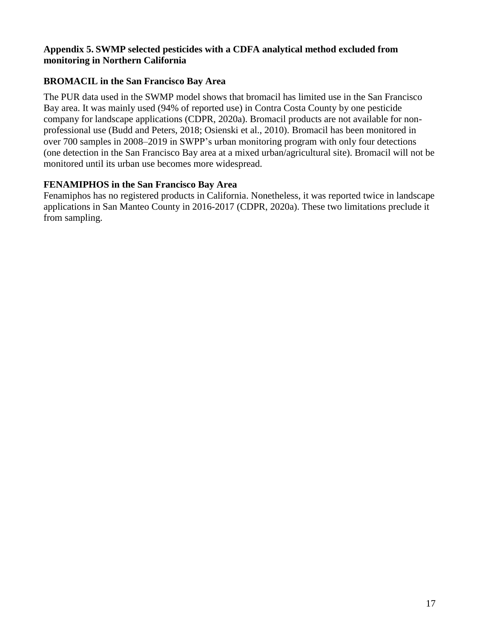#### **Appendix 5. SWMP selected pesticides with a CDFA analytical method excluded from monitoring in Northern California**

## **BROMACIL in the San Francisco Bay Area**

The PUR data used in the SWMP model shows that bromacil has limited use in the San Francisco Bay area. It was mainly used (94% of reported use) in Contra Costa County by one pesticide company for landscape applications (CDPR, 2020a). Bromacil products are not available for nonprofessional use (Budd and Peters, 2018; Osienski et al., 2010). Bromacil has been monitored in over 700 samples in 2008–2019 in SWPP's urban monitoring program with only four detections (one detection in the San Francisco Bay area at a mixed urban/agricultural site). Bromacil will not be monitored until its urban use becomes more widespread.

### **FENAMIPHOS in the San Francisco Bay Area**

Fenamiphos has no registered products in California. Nonetheless, it was reported twice in landscape applications in San Manteo County in 2016-2017 (CDPR, 2020a). These two limitations preclude it from sampling.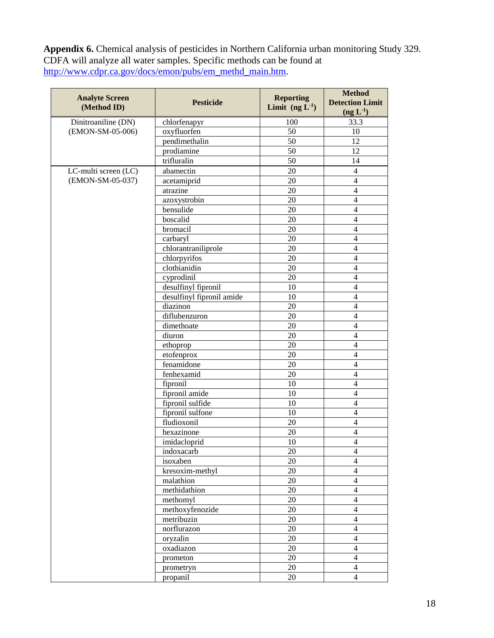**Appendix 6.** Chemical analysis of pesticides in Northern California urban monitoring Study 329. CDFA will analyze all water samples. Specific methods can be found at [http://www.cdpr.ca.gov/docs/emon/pubs/em\\_methd\\_main.htm.](http://www.cdpr.ca.gov/docs/emon/pubs/em_methd_main.htm)

| <b>Analyte Screen</b><br>(Method ID) | <b>Pesticide</b>          | <b>Reporting</b><br>Limit $(ng L1)$ | <b>Method</b><br><b>Detection Limit</b><br>(ng L <sup>1</sup> ) |
|--------------------------------------|---------------------------|-------------------------------------|-----------------------------------------------------------------|
| Dinitroaniline (DN)                  | chlorfenapyr              | 100                                 | 33.3                                                            |
| (EMON-SM-05-006)                     | oxyfluorfen               | 50                                  | 10                                                              |
|                                      | pendimethalin             | 50                                  | 12                                                              |
|                                      | prodiamine                | 50                                  | 12                                                              |
|                                      | trifluralin               | 50                                  | 14                                                              |
| LC-multi screen (LC)                 | abamectin                 | 20                                  | 4                                                               |
| (EMON-SM-05-037)                     | acetamiprid               | 20                                  | $\overline{\mathcal{L}}$                                        |
|                                      | atrazine                  | 20                                  | $\overline{\mathcal{L}}$                                        |
|                                      | azoxystrobin              | 20                                  | $\overline{4}$                                                  |
|                                      | bensulide                 | 20                                  | $\overline{4}$                                                  |
|                                      | boscalid                  | 20                                  | $\overline{4}$                                                  |
|                                      | bromacil                  | 20                                  | $\overline{4}$                                                  |
|                                      | carbaryl                  | 20                                  | $\overline{4}$                                                  |
|                                      | chlorantraniliprole       | 20                                  | $\overline{4}$                                                  |
|                                      | chlorpyrifos              | 20                                  | $\overline{4}$                                                  |
|                                      | clothianidin              | 20                                  | $\overline{4}$                                                  |
|                                      | cyprodinil                | 20                                  | $\overline{4}$                                                  |
|                                      | desulfinyl fipronil       | 10                                  | $\overline{4}$                                                  |
|                                      | desulfinyl fipronil amide | 10                                  | $\overline{4}$                                                  |
|                                      | diazinon                  | 20                                  | $\overline{4}$                                                  |
|                                      | diflubenzuron             | 20                                  | $\overline{4}$                                                  |
|                                      | dimethoate                | 20                                  | $\overline{4}$                                                  |
|                                      | diuron                    | 20                                  | $\overline{4}$                                                  |
|                                      | ethoprop                  | 20                                  | $\overline{\mathbf{4}}$                                         |
|                                      | etofenprox                | 20                                  | $\overline{\mathbf{4}}$                                         |
|                                      | fenamidone                | 20                                  | $\overline{\mathbf{4}}$                                         |
|                                      | fenhexamid                | 20                                  | $\overline{\mathbf{4}}$                                         |
|                                      | fipronil                  | 10                                  | $\overline{\mathbf{4}}$                                         |
|                                      | fipronil amide            | 10                                  | $\overline{\mathbf{4}}$                                         |
|                                      | fipronil sulfide          | 10                                  | $\overline{\mathbf{4}}$                                         |
|                                      | fipronil sulfone          | 10                                  | $\overline{\mathbf{4}}$                                         |
|                                      | fludioxonil               | 20                                  | $\overline{\mathbf{4}}$                                         |
|                                      | hexazinone                | 20                                  | 4                                                               |
|                                      | imidacloprid              | 10                                  | $\overline{4}$                                                  |
|                                      | indoxacarb                | 20                                  | 4                                                               |
|                                      | isoxaben                  | $20\,$                              | $\overline{4}$                                                  |
|                                      | kresoxim-methyl           | $20\,$                              | $\overline{4}$                                                  |
|                                      | malathion                 | $20\,$                              | $\overline{4}$                                                  |
|                                      | methidathion              | $20\,$                              | $\overline{4}$                                                  |
|                                      | methomyl                  | $20\,$                              | $\overline{4}$                                                  |
|                                      | methoxyfenozide           | $20\,$                              | $\overline{4}$                                                  |
|                                      | metribuzin                | $20\,$                              | $\overline{4}$                                                  |
|                                      | norflurazon               | $20\,$                              | $\overline{4}$                                                  |
|                                      | oryzalin                  | $20\,$                              | $\overline{4}$                                                  |
|                                      | oxadiazon                 | $20\,$                              | $\overline{4}$                                                  |
|                                      | prometon                  | $20\,$                              | $\overline{4}$                                                  |
|                                      | prometryn                 | $20\,$                              | $\overline{4}$                                                  |
|                                      | propanil                  | 20                                  | $\overline{4}$                                                  |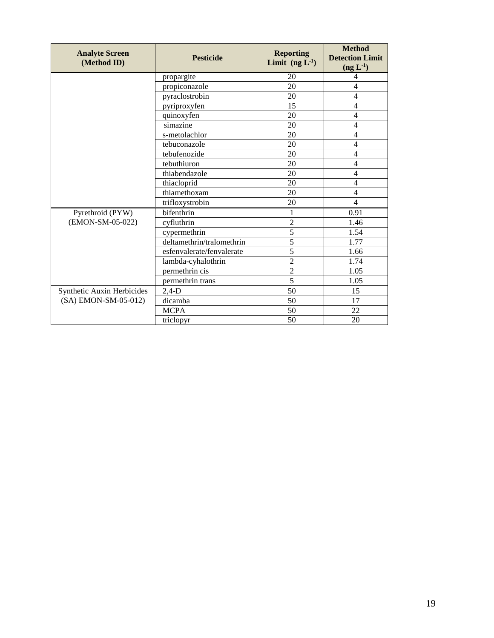| <b>Analyte Screen</b><br>(Method ID) | <b>Pesticide</b>          | <b>Reporting</b><br>Limit $(ng L1)$ | <b>Method</b><br><b>Detection Limit</b><br>$(\text{ng } L^{-1})$ |
|--------------------------------------|---------------------------|-------------------------------------|------------------------------------------------------------------|
|                                      | propargite                | 20                                  | 4                                                                |
|                                      | propiconazole             | 20                                  | $\overline{4}$                                                   |
|                                      | pyraclostrobin            | 20                                  | $\overline{4}$                                                   |
|                                      | pyriproxyfen              | 15                                  | 4                                                                |
|                                      | quinoxyfen                | 20                                  | 4                                                                |
|                                      | simazine                  | 20                                  | 4                                                                |
|                                      | s-metolachlor             | 20                                  | 4                                                                |
|                                      | tebuconazole              | 20                                  | $\overline{4}$                                                   |
|                                      | tebufenozide              | 20                                  | 4                                                                |
|                                      | tebuthiuron               | 20                                  | $\overline{\mathcal{L}}$                                         |
|                                      | thiabendazole             | 20                                  | $\overline{\mathcal{L}}$                                         |
|                                      | thiacloprid               | 20                                  | $\overline{4}$                                                   |
|                                      | thiamethoxam              | 20                                  | 4                                                                |
|                                      | trifloxystrobin           | 20                                  | $\overline{4}$                                                   |
| Pyrethroid (PYW)                     | bifenthrin                | 1                                   | 0.91                                                             |
| (EMON-SM-05-022)                     | cyfluthrin                | $\overline{2}$                      | 1.46                                                             |
|                                      | cypermethrin              | $\overline{5}$                      | 1.54                                                             |
|                                      | deltamethrin/tralomethrin | 5                                   | 1.77                                                             |
|                                      | esfenvalerate/fenvalerate | $\overline{5}$                      | 1.66                                                             |
|                                      | lambda-cyhalothrin        | $\overline{2}$                      | 1.74                                                             |
|                                      | permethrin cis            | $\overline{2}$                      | 1.05                                                             |
|                                      | permethrin trans          | 5                                   | 1.05                                                             |
| Synthetic Auxin Herbicides           | $2,4-D$                   | 50                                  | 15                                                               |
| (SA) EMON-SM-05-012)                 | dicamba                   | 50                                  | 17                                                               |
|                                      | <b>MCPA</b>               | 50                                  | 22                                                               |
|                                      | triclopyr                 | 50                                  | 20                                                               |